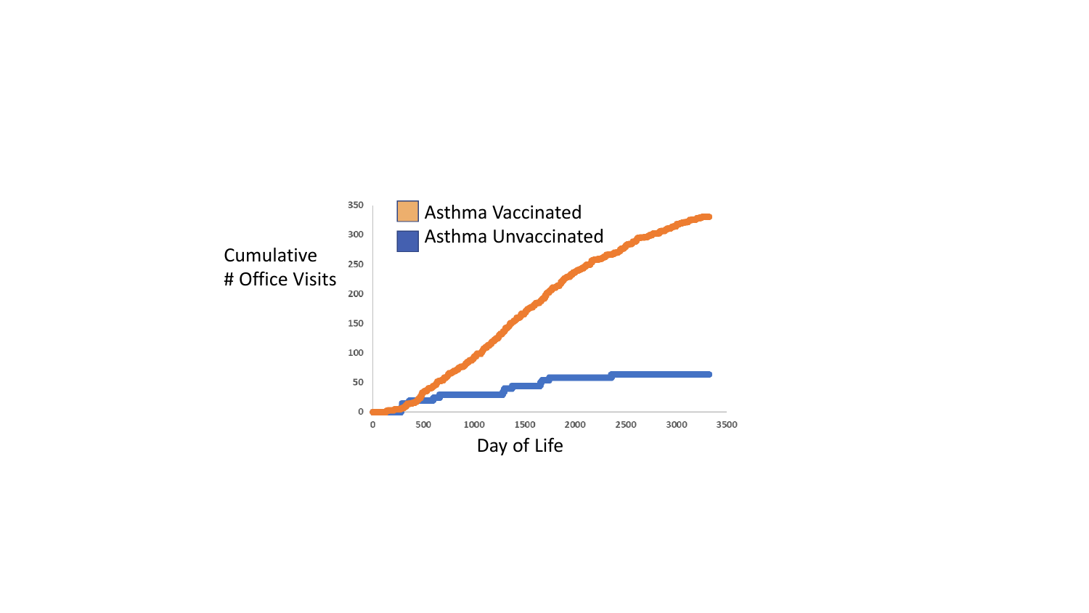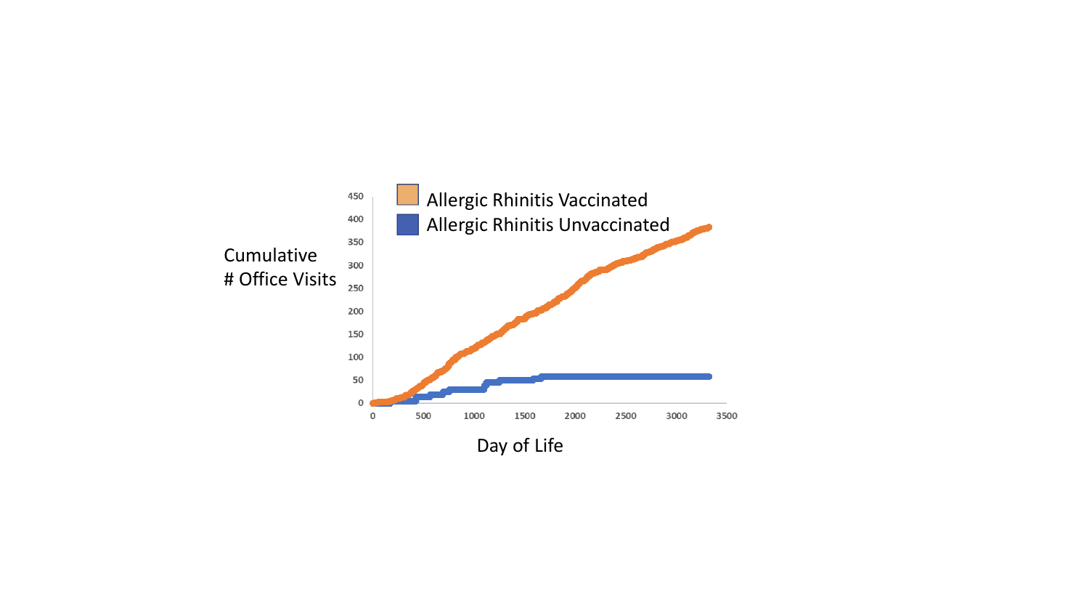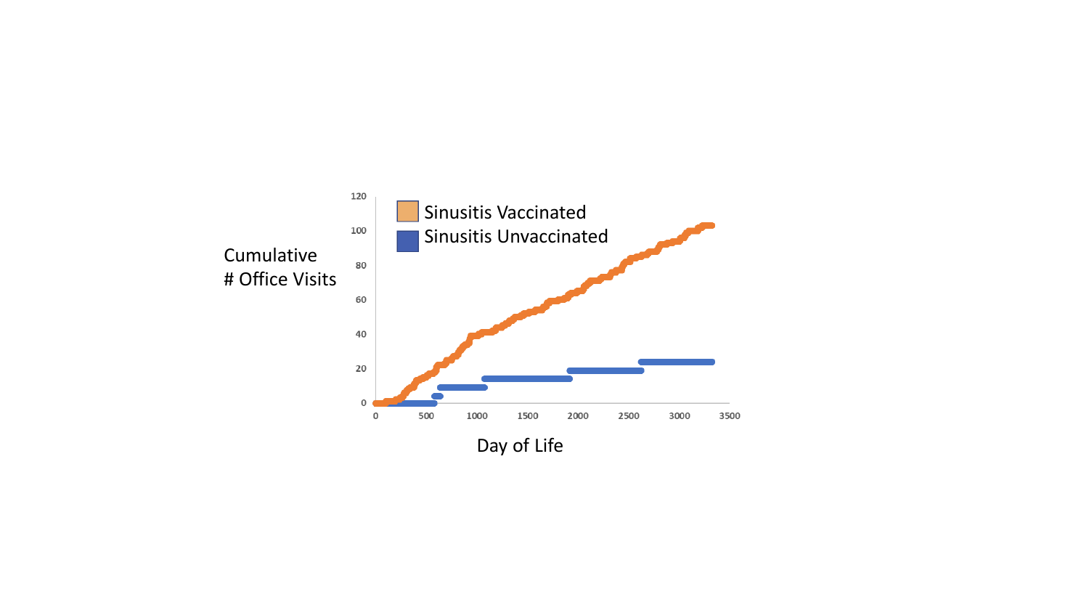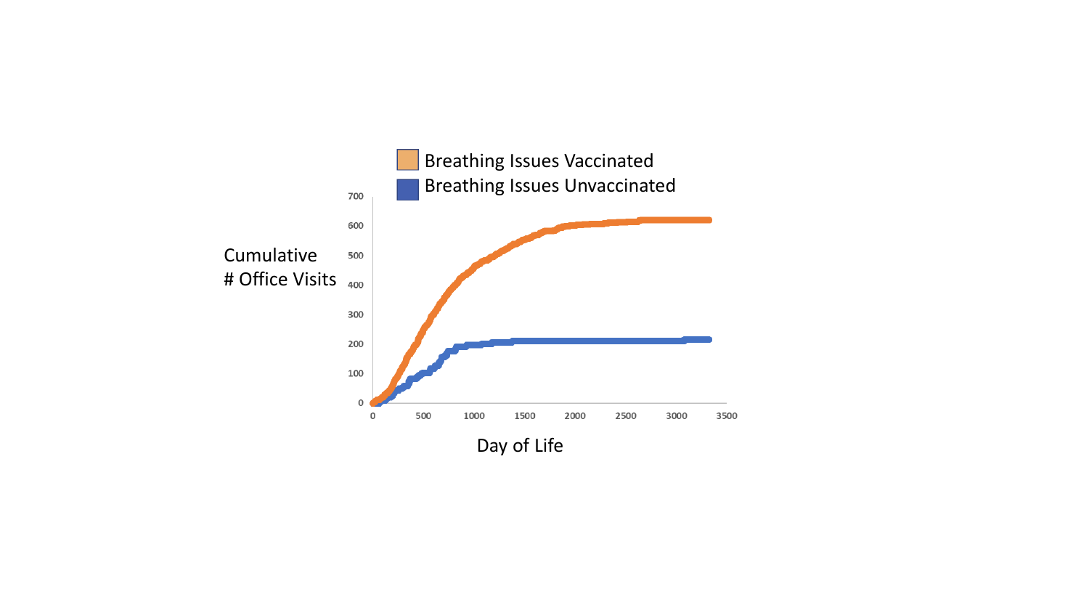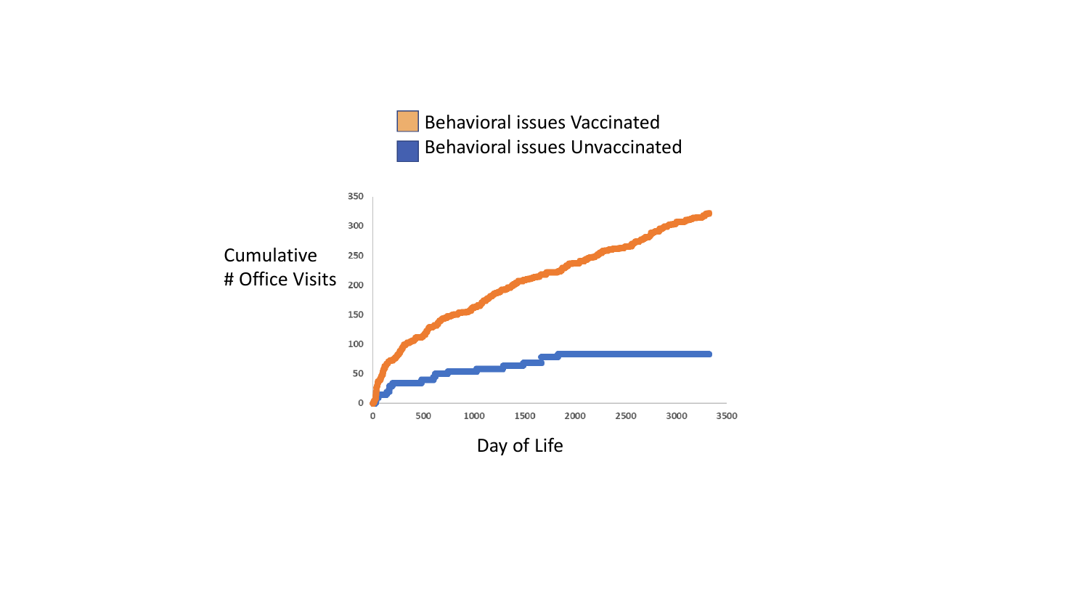Behavioral issues Vaccinated Behavioral issues Unvaccinated

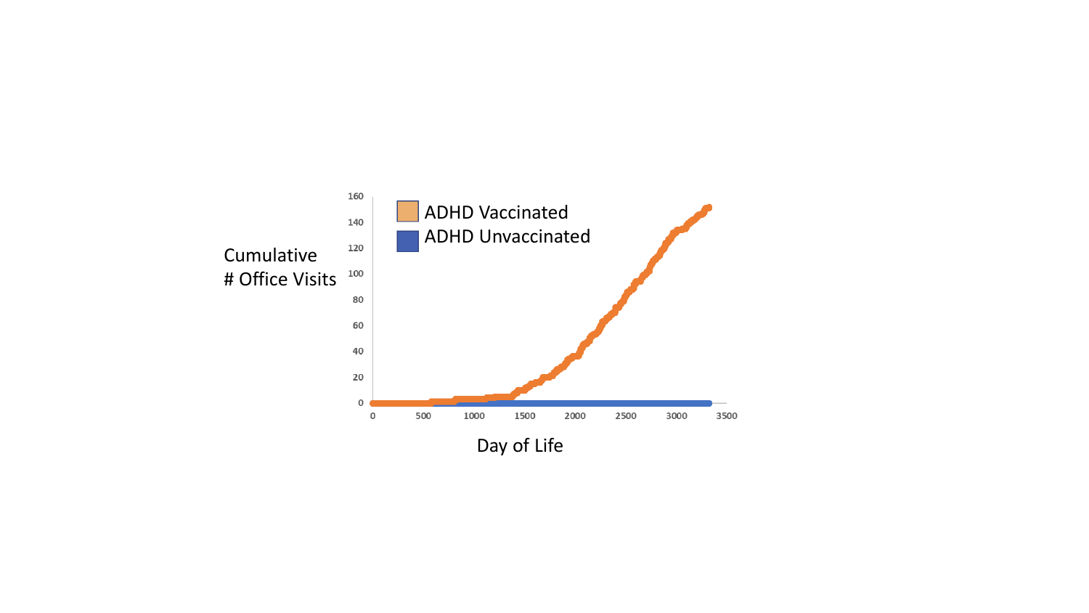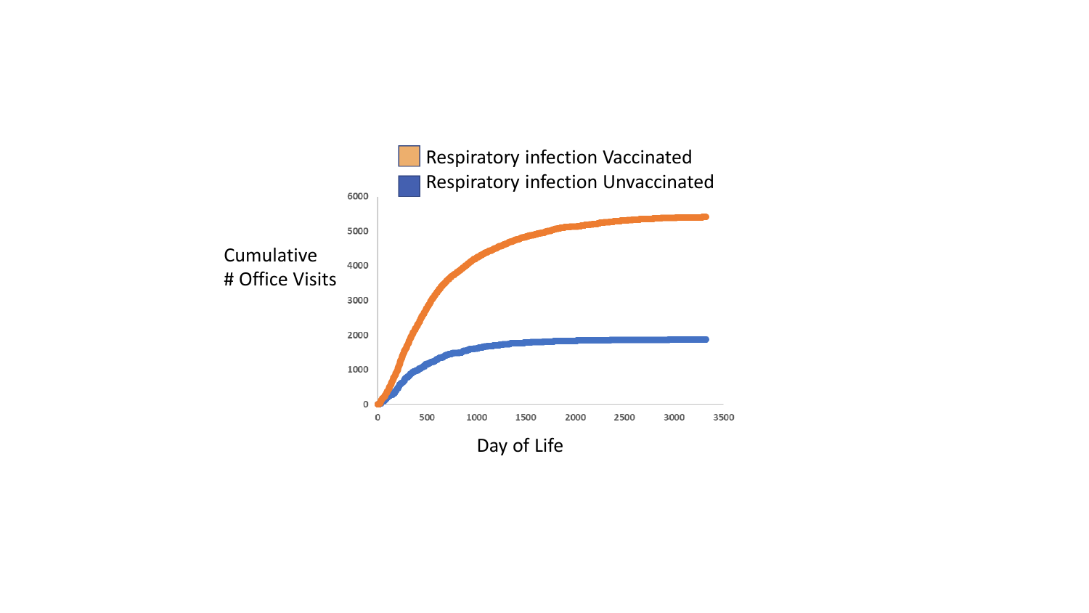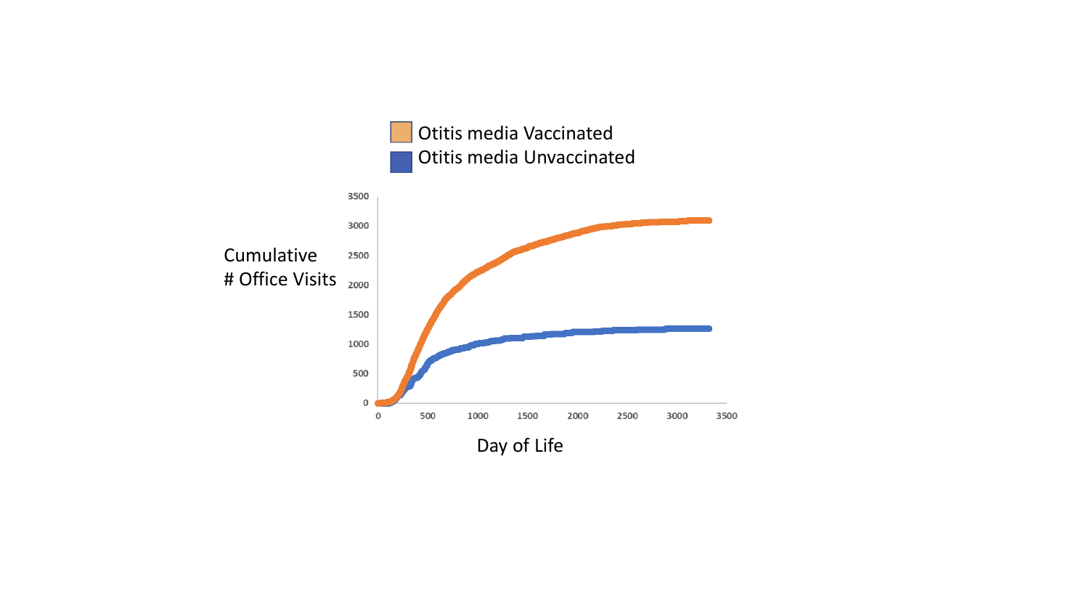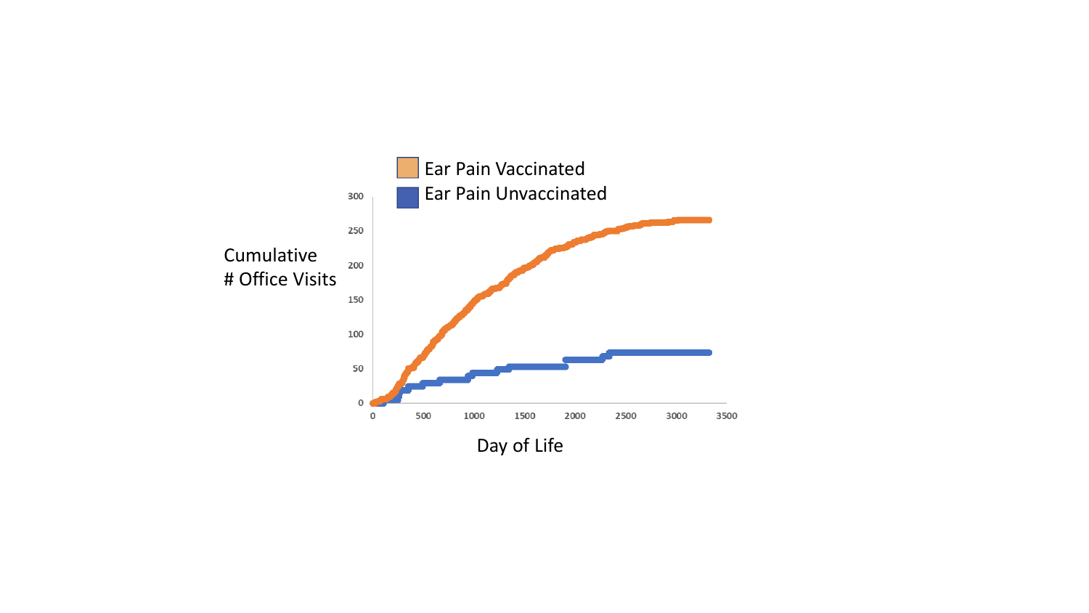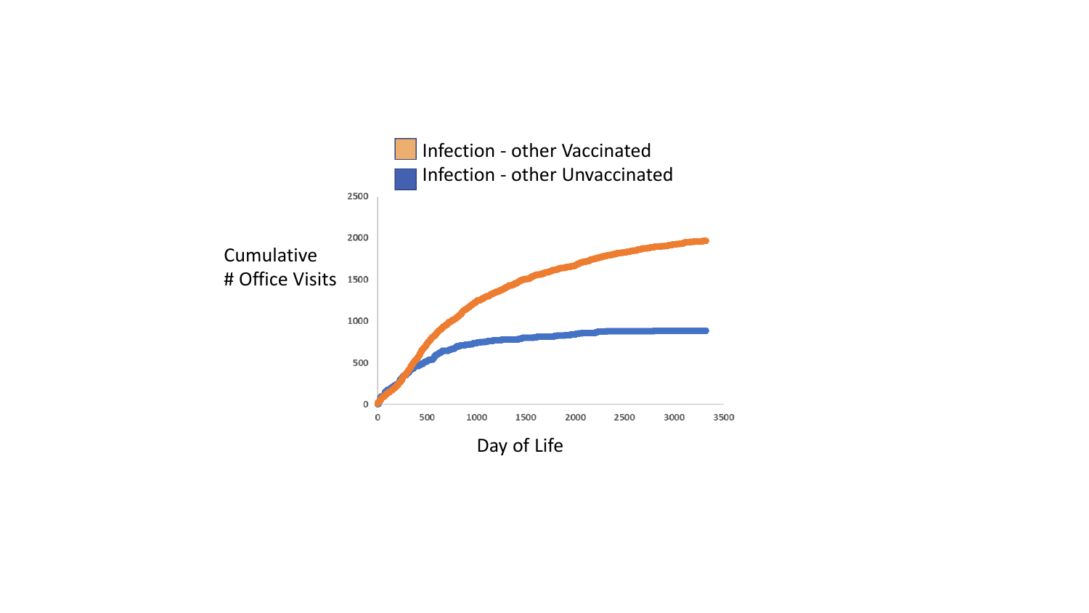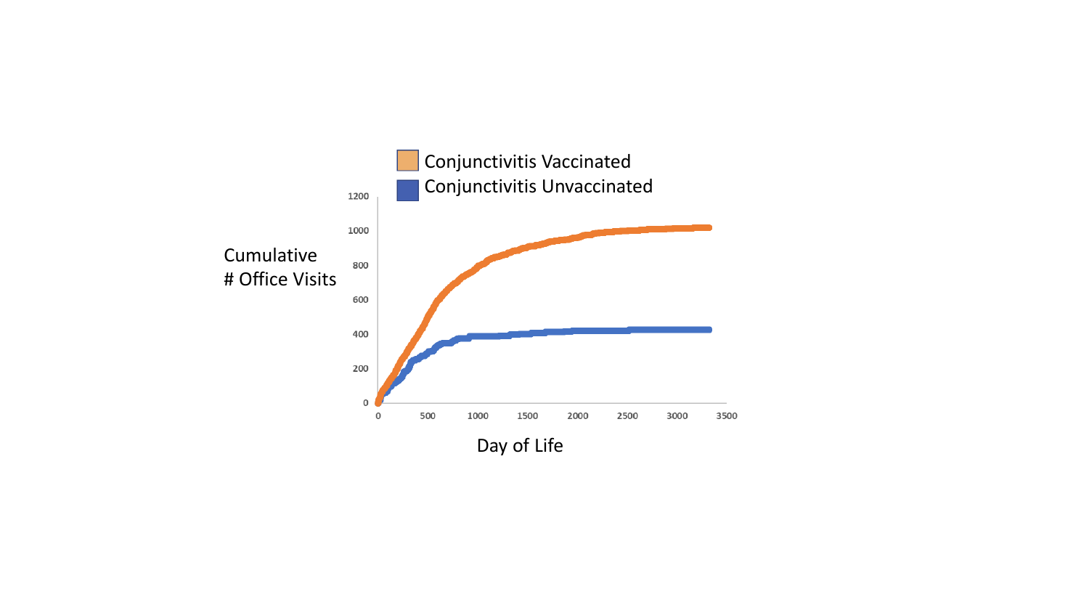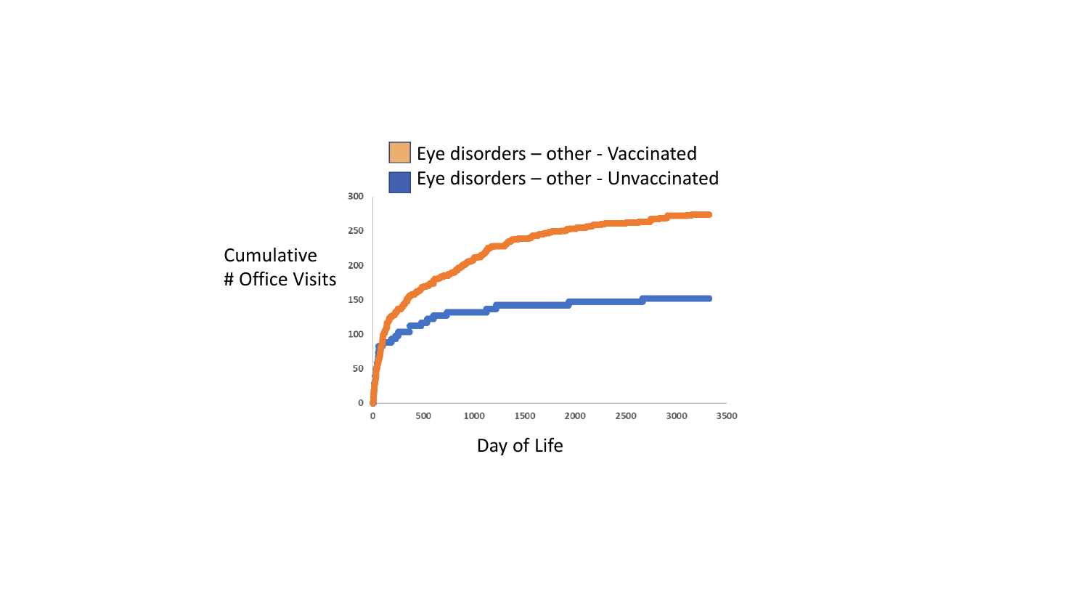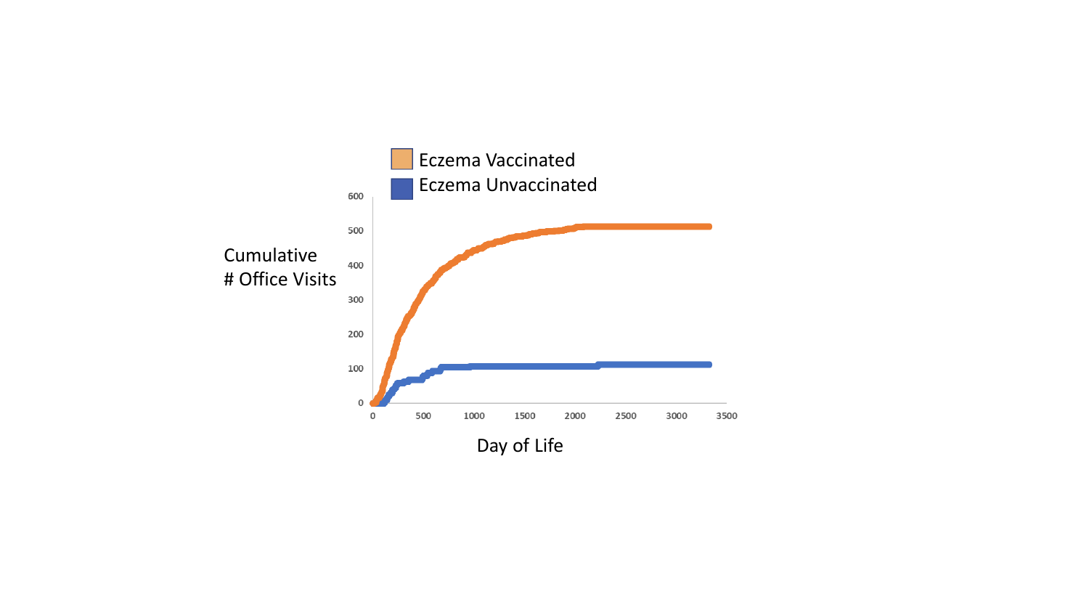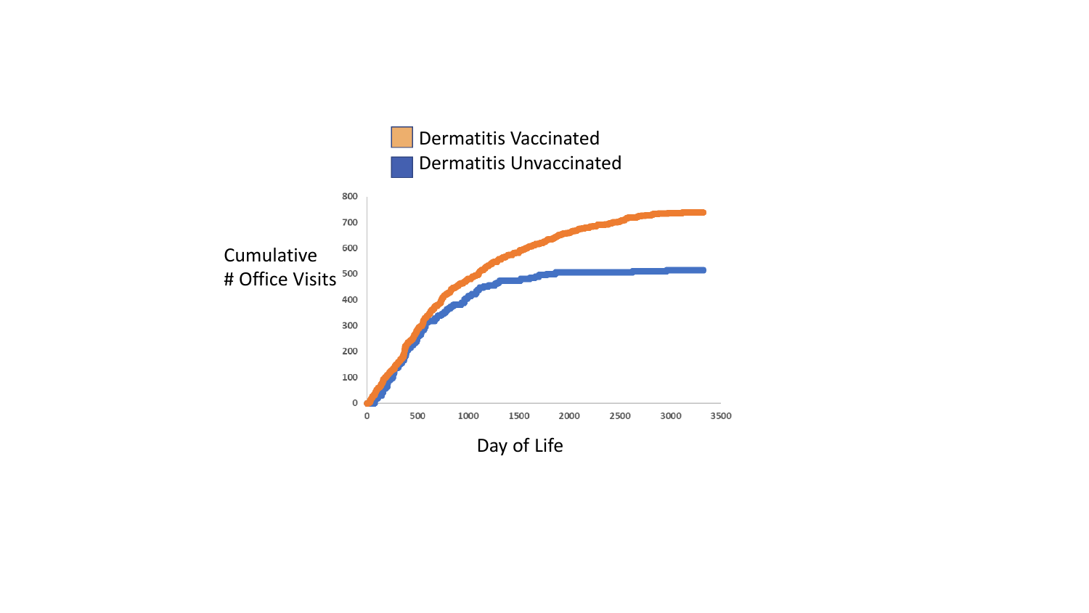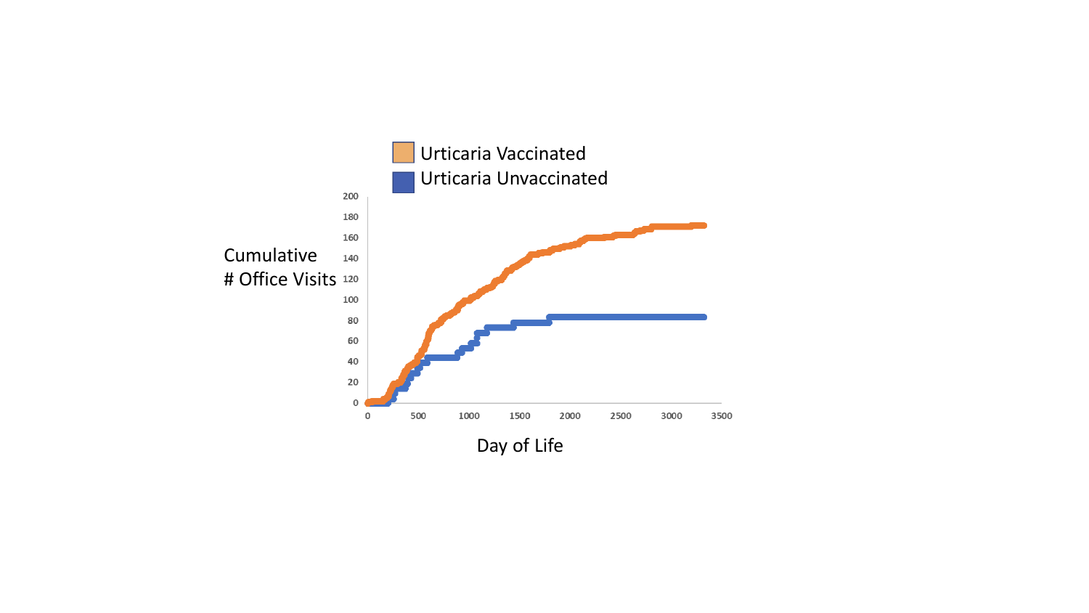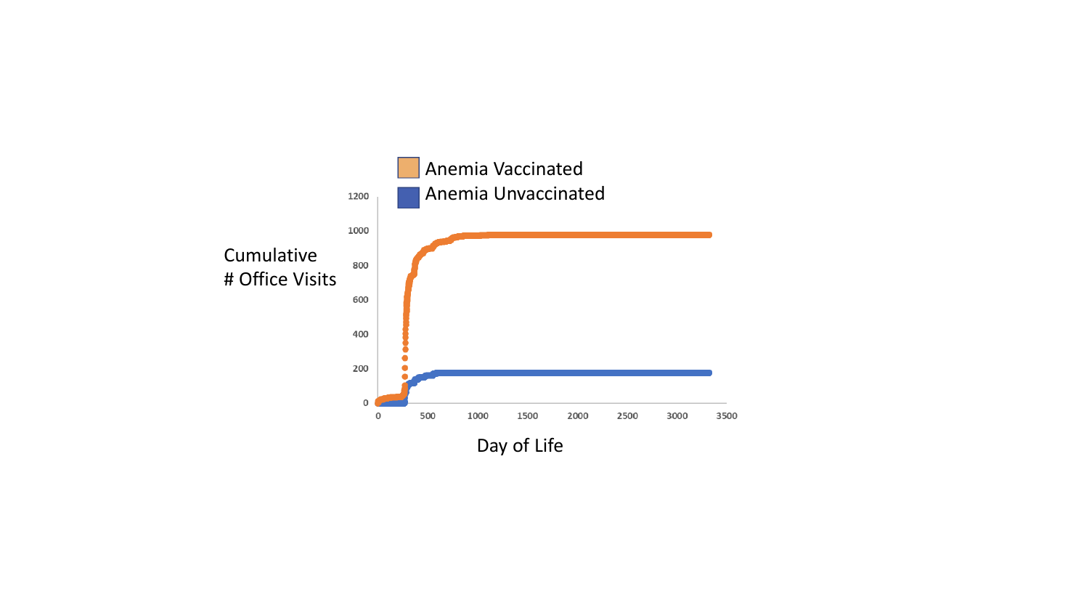